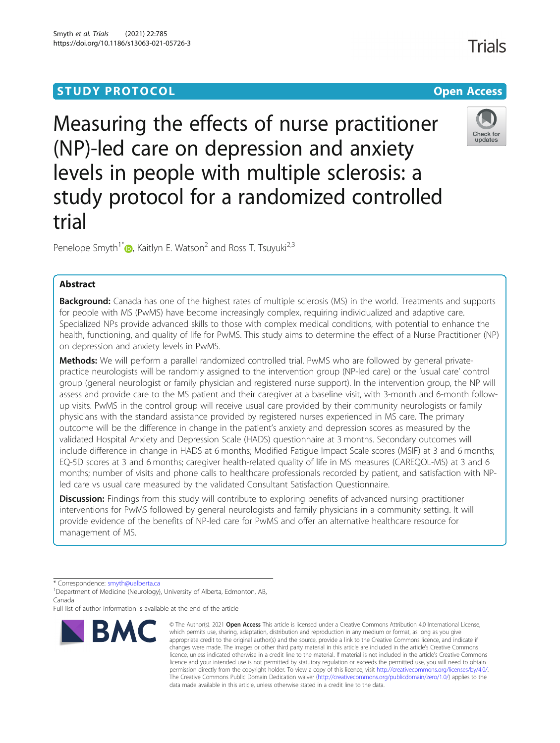# **STUDY PROTOCOL CONSUMING THE RESERVE ACCESS**

Measuring the effects of nurse practitioner (NP)-led care on depression and anxiety levels in people with multiple sclerosis: a study protocol for a randomized controlled trial

Penelope Smyth<sup>1[\\*](http://orcid.org/0000-0003-1174-4577)</sup> $\bullet$ , Kaitlyn E. Watson<sup>2</sup> and Ross T. Tsuyuki<sup>2,3</sup>

## Abstract

**Background:** Canada has one of the highest rates of multiple sclerosis (MS) in the world. Treatments and supports for people with MS (PwMS) have become increasingly complex, requiring individualized and adaptive care. Specialized NPs provide advanced skills to those with complex medical conditions, with potential to enhance the health, functioning, and quality of life for PwMS. This study aims to determine the effect of a Nurse Practitioner (NP) on depression and anxiety levels in PwMS.

Methods: We will perform a parallel randomized controlled trial. PwMS who are followed by general privatepractice neurologists will be randomly assigned to the intervention group (NP-led care) or the 'usual care' control group (general neurologist or family physician and registered nurse support). In the intervention group, the NP will assess and provide care to the MS patient and their caregiver at a baseline visit, with 3-month and 6-month followup visits. PwMS in the control group will receive usual care provided by their community neurologists or family physicians with the standard assistance provided by registered nurses experienced in MS care. The primary outcome will be the difference in change in the patient's anxiety and depression scores as measured by the validated Hospital Anxiety and Depression Scale (HADS) questionnaire at 3 months. Secondary outcomes will include difference in change in HADS at 6 months; Modified Fatigue Impact Scale scores (MSIF) at 3 and 6 months; EQ-5D scores at 3 and 6 months; caregiver health-related quality of life in MS measures (CAREQOL-MS) at 3 and 6 months; number of visits and phone calls to healthcare professionals recorded by patient, and satisfaction with NPled care vs usual care measured by the validated Consultant Satisfaction Questionnaire.

**Discussion:** Findings from this study will contribute to exploring benefits of advanced nursing practitioner interventions for PwMS followed by general neurologists and family physicians in a community setting. It will provide evidence of the benefits of NP-led care for PwMS and offer an alternative healthcare resource for management of MS.

\* Correspondence: [smyth@ualberta.ca](mailto:smyth@ualberta.ca) <sup>1</sup>

<sup>1</sup> Department of Medicine (Neurology), University of Alberta, Edmonton, AB, Canada

Full list of author information is available at the end of the article

# © The Author(s), 2021 **Open Access** This article is licensed under a Creative Commons Attribution 4.0 International License, **BMC**

which permits use, sharing, adaptation, distribution and reproduction in any medium or format, as long as you give appropriate credit to the original author(s) and the source, provide a link to the Creative Commons licence, and indicate if changes were made. The images or other third party material in this article are included in the article's Creative Commons licence, unless indicated otherwise in a credit line to the material. If material is not included in the article's Creative Commons licence and your intended use is not permitted by statutory regulation or exceeds the permitted use, you will need to obtain permission directly from the copyright holder. To view a copy of this licence, visit [http://creativecommons.org/licenses/by/4.0/.](http://creativecommons.org/licenses/by/4.0/) The Creative Commons Public Domain Dedication waiver [\(http://creativecommons.org/publicdomain/zero/1.0/](http://creativecommons.org/publicdomain/zero/1.0/)) applies to the data made available in this article, unless otherwise stated in a credit line to the data.





**Trials**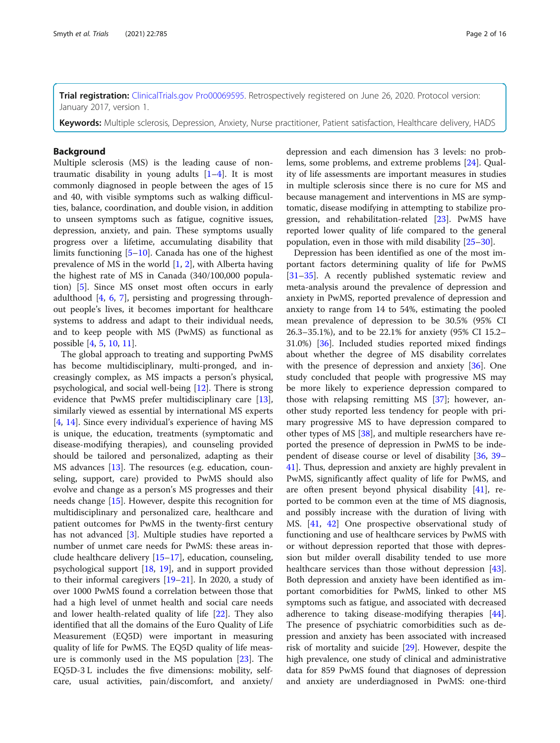Trial registration: [ClinicalTrials.gov](http://clinicaltrials.gov) [Pro00069595.](mailto:Pro00069595) Retrospectively registered on June 26, 2020. Protocol version: January 2017, version 1.

Keywords: Multiple sclerosis, Depression, Anxiety, Nurse practitioner, Patient satisfaction, Healthcare delivery, HADS

#### **Background**

Multiple sclerosis (MS) is the leading cause of nontraumatic disability in young adults  $[1-4]$  $[1-4]$  $[1-4]$ . It is most commonly diagnosed in people between the ages of 15 and 40, with visible symptoms such as walking difficulties, balance, coordination, and double vision, in addition to unseen symptoms such as fatigue, cognitive issues, depression, anxiety, and pain. These symptoms usually progress over a lifetime, accumulating disability that limits functioning [\[5](#page-13-0)–[10\]](#page-13-0). Canada has one of the highest prevalence of MS in the world [[1,](#page-13-0) [2\]](#page-13-0), with Alberta having the highest rate of MS in Canada (340/100,000 population) [[5\]](#page-13-0). Since MS onset most often occurs in early adulthood  $[4, 6, 7]$  $[4, 6, 7]$  $[4, 6, 7]$  $[4, 6, 7]$  $[4, 6, 7]$  $[4, 6, 7]$ , persisting and progressing throughout people's lives, it becomes important for healthcare systems to address and adapt to their individual needs, and to keep people with MS (PwMS) as functional as possible [\[4](#page-13-0), [5](#page-13-0), [10](#page-13-0), [11](#page-13-0)].

The global approach to treating and supporting PwMS has become multidisciplinary, multi-pronged, and increasingly complex, as MS impacts a person's physical, psychological, and social well-being [\[12](#page-13-0)]. There is strong evidence that PwMS prefer multidisciplinary care [\[13](#page-13-0)], similarly viewed as essential by international MS experts [[4,](#page-13-0) [14](#page-13-0)]. Since every individual's experience of having MS is unique, the education, treatments (symptomatic and disease-modifying therapies), and counseling provided should be tailored and personalized, adapting as their MS advances [\[13](#page-13-0)]. The resources (e.g. education, counseling, support, care) provided to PwMS should also evolve and change as a person's MS progresses and their needs change [\[15](#page-13-0)]. However, despite this recognition for multidisciplinary and personalized care, healthcare and patient outcomes for PwMS in the twenty-first century has not advanced [[3\]](#page-13-0). Multiple studies have reported a number of unmet care needs for PwMS: these areas include healthcare delivery [\[15](#page-13-0)–[17\]](#page-13-0), education, counseling, psychological support [[18](#page-13-0), [19](#page-13-0)], and in support provided to their informal caregivers [[19](#page-13-0)–[21\]](#page-13-0). In 2020, a study of over 1000 PwMS found a correlation between those that had a high level of unmet health and social care needs and lower health-related quality of life [[22](#page-13-0)]. They also identified that all the domains of the Euro Quality of Life Measurement (EQ5D) were important in measuring quality of life for PwMS. The EQ5D quality of life measure is commonly used in the MS population [[23\]](#page-13-0). The EQ5D-3 L includes the five dimensions: mobility, selfcare, usual activities, pain/discomfort, and anxiety/

depression and each dimension has 3 levels: no problems, some problems, and extreme problems [[24](#page-13-0)]. Quality of life assessments are important measures in studies in multiple sclerosis since there is no cure for MS and because management and interventions in MS are symptomatic, disease modifying in attempting to stabilize progression, and rehabilitation-related [[23\]](#page-13-0). PwMS have reported lower quality of life compared to the general population, even in those with mild disability [[25](#page-13-0)–[30](#page-13-0)].

Depression has been identified as one of the most important factors determining quality of life for PwMS [[31](#page-13-0)–[35](#page-13-0)]. A recently published systematic review and meta-analysis around the prevalence of depression and anxiety in PwMS, reported prevalence of depression and anxiety to range from 14 to 54%, estimating the pooled mean prevalence of depression to be 30.5% (95% CI 26.3–35.1%), and to be 22.1% for anxiety (95% CI 15.2– 31.0%) [\[36\]](#page-13-0). Included studies reported mixed findings about whether the degree of MS disability correlates with the presence of depression and anxiety [\[36](#page-13-0)]. One study concluded that people with progressive MS may be more likely to experience depression compared to those with relapsing remitting MS [[37\]](#page-13-0); however, another study reported less tendency for people with primary progressive MS to have depression compared to other types of MS [\[38\]](#page-13-0), and multiple researchers have reported the presence of depression in PwMS to be independent of disease course or level of disability [[36,](#page-13-0) [39](#page-13-0)– [41\]](#page-14-0). Thus, depression and anxiety are highly prevalent in PwMS, significantly affect quality of life for PwMS, and are often present beyond physical disability [[41\]](#page-14-0), reported to be common even at the time of MS diagnosis, and possibly increase with the duration of living with MS. [\[41,](#page-14-0) [42\]](#page-14-0) One prospective observational study of functioning and use of healthcare services by PwMS with or without depression reported that those with depression but milder overall disability tended to use more healthcare services than those without depression [\[43](#page-14-0)]. Both depression and anxiety have been identified as important comorbidities for PwMS, linked to other MS symptoms such as fatigue, and associated with decreased adherence to taking disease-modifying therapies [\[44](#page-14-0)]. The presence of psychiatric comorbidities such as depression and anxiety has been associated with increased risk of mortality and suicide [\[29](#page-13-0)]. However, despite the high prevalence, one study of clinical and administrative data for 859 PwMS found that diagnoses of depression and anxiety are underdiagnosed in PwMS: one-third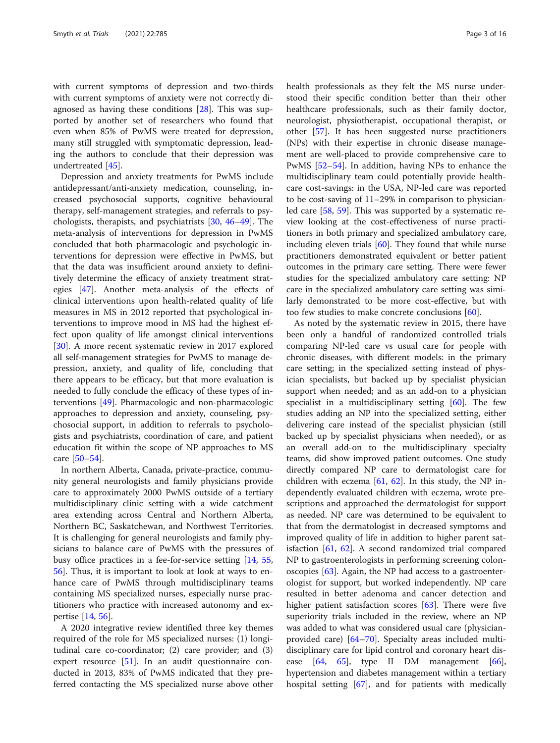with current symptoms of depression and two-thirds with current symptoms of anxiety were not correctly diagnosed as having these conditions [\[28\]](#page-13-0). This was supported by another set of researchers who found that even when 85% of PwMS were treated for depression, many still struggled with symptomatic depression, leading the authors to conclude that their depression was undertreated [\[45](#page-14-0)].

Depression and anxiety treatments for PwMS include antidepressant/anti-anxiety medication, counseling, increased psychosocial supports, cognitive behavioural therapy, self-management strategies, and referrals to psychologists, therapists, and psychiatrists [\[30,](#page-13-0) [46](#page-14-0)–[49](#page-14-0)]. The meta-analysis of interventions for depression in PwMS concluded that both pharmacologic and psychologic interventions for depression were effective in PwMS, but that the data was insufficient around anxiety to definitively determine the efficacy of anxiety treatment strategies [\[47\]](#page-14-0). Another meta-analysis of the effects of clinical interventions upon health-related quality of life measures in MS in 2012 reported that psychological interventions to improve mood in MS had the highest effect upon quality of life amongst clinical interventions [[30\]](#page-13-0). A more recent systematic review in 2017 explored all self-management strategies for PwMS to manage depression, anxiety, and quality of life, concluding that there appears to be efficacy, but that more evaluation is needed to fully conclude the efficacy of these types of interventions [\[49](#page-14-0)]. Pharmacologic and non-pharmacologic approaches to depression and anxiety, counseling, psychosocial support, in addition to referrals to psychologists and psychiatrists, coordination of care, and patient education fit within the scope of NP approaches to MS care [[50](#page-14-0)–[54](#page-14-0)].

In northern Alberta, Canada, private-practice, community general neurologists and family physicians provide care to approximately 2000 PwMS outside of a tertiary multidisciplinary clinic setting with a wide catchment area extending across Central and Northern Alberta, Northern BC, Saskatchewan, and Northwest Territories. It is challenging for general neurologists and family physicians to balance care of PwMS with the pressures of busy office practices in a fee-for-service setting [[14](#page-13-0), [55](#page-14-0), [56\]](#page-14-0). Thus, it is important to look at look at ways to enhance care of PwMS through multidisciplinary teams containing MS specialized nurses, especially nurse practitioners who practice with increased autonomy and expertise [\[14,](#page-13-0) [56\]](#page-14-0).

A 2020 integrative review identified three key themes required of the role for MS specialized nurses: (1) longitudinal care co-coordinator; (2) care provider; and (3) expert resource [\[51](#page-14-0)]. In an audit questionnaire conducted in 2013, 83% of PwMS indicated that they preferred contacting the MS specialized nurse above other health professionals as they felt the MS nurse understood their specific condition better than their other healthcare professionals, such as their family doctor, neurologist, physiotherapist, occupational therapist, or other [\[57](#page-14-0)]. It has been suggested nurse practitioners (NPs) with their expertise in chronic disease management are well-placed to provide comprehensive care to PwMS [\[52](#page-14-0)–[54\]](#page-14-0). In addition, having NPs to enhance the multidisciplinary team could potentially provide healthcare cost-savings: in the USA, NP-led care was reported to be cost-saving of 11–29% in comparison to physicianled care [\[58](#page-14-0), [59](#page-14-0)]. This was supported by a systematic review looking at the cost-effectiveness of nurse practitioners in both primary and specialized ambulatory care, including eleven trials [[60\]](#page-14-0). They found that while nurse practitioners demonstrated equivalent or better patient outcomes in the primary care setting. There were fewer studies for the specialized ambulatory care setting: NP care in the specialized ambulatory care setting was similarly demonstrated to be more cost-effective, but with too few studies to make concrete conclusions [\[60](#page-14-0)].

As noted by the systematic review in 2015, there have been only a handful of randomized controlled trials comparing NP-led care vs usual care for people with chronic diseases, with different models: in the primary care setting; in the specialized setting instead of physician specialists, but backed up by specialist physician support when needed; and as an add-on to a physician specialist in a multidisciplinary setting [[60](#page-14-0)]. The few studies adding an NP into the specialized setting, either delivering care instead of the specialist physician (still backed up by specialist physicians when needed), or as an overall add-on to the multidisciplinary specialty teams, did show improved patient outcomes. One study directly compared NP care to dermatologist care for children with eczema  $[61, 62]$  $[61, 62]$  $[61, 62]$  $[61, 62]$ . In this study, the NP independently evaluated children with eczema, wrote prescriptions and approached the dermatologist for support as needed. NP care was determined to be equivalent to that from the dermatologist in decreased symptoms and improved quality of life in addition to higher parent satisfaction [\[61](#page-14-0), [62](#page-14-0)]. A second randomized trial compared NP to gastroenterologists in performing screening colonoscopies [\[63](#page-14-0)]. Again, the NP had access to a gastroenterologist for support, but worked independently. NP care resulted in better adenoma and cancer detection and higher patient satisfaction scores [[63](#page-14-0)]. There were five superiority trials included in the review, where an NP was added to what was considered usual care (physicianprovided care) [[64](#page-14-0)–[70](#page-14-0)]. Specialty areas included multidisciplinary care for lipid control and coronary heart disease  $[64, 65]$  $[64, 65]$  $[64, 65]$  $[64, 65]$  $[64, 65]$ , type II DM management  $[66]$  $[66]$ , hypertension and diabetes management within a tertiary hospital setting [[67\]](#page-14-0), and for patients with medically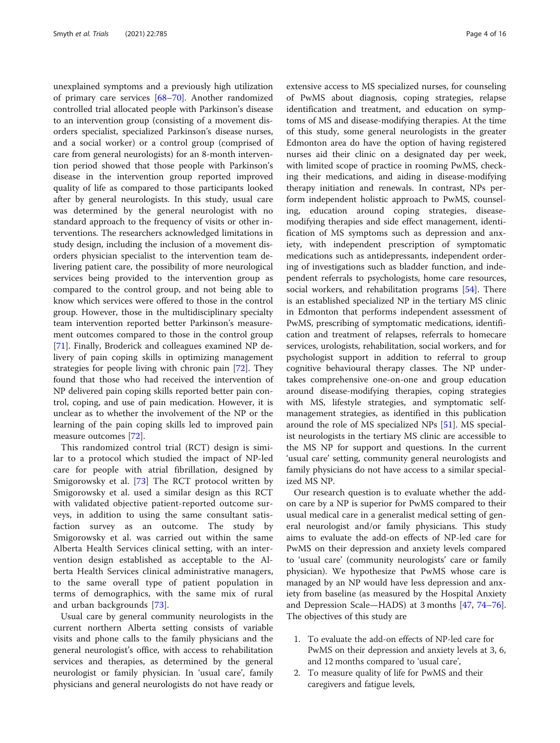unexplained symptoms and a previously high utilization of primary care services [[68](#page-14-0)–[70](#page-14-0)]. Another randomized controlled trial allocated people with Parkinson's disease to an intervention group (consisting of a movement disorders specialist, specialized Parkinson's disease nurses, and a social worker) or a control group (comprised of care from general neurologists) for an 8-month intervention period showed that those people with Parkinson's disease in the intervention group reported improved quality of life as compared to those participants looked after by general neurologists. In this study, usual care was determined by the general neurologist with no standard approach to the frequency of visits or other interventions. The researchers acknowledged limitations in study design, including the inclusion of a movement disorders physician specialist to the intervention team delivering patient care, the possibility of more neurological services being provided to the intervention group as compared to the control group, and not being able to know which services were offered to those in the control group. However, those in the multidisciplinary specialty team intervention reported better Parkinson's measurement outcomes compared to those in the control group [[71\]](#page-14-0). Finally, Broderick and colleagues examined NP delivery of pain coping skills in optimizing management strategies for people living with chronic pain [\[72\]](#page-14-0). They found that those who had received the intervention of NP delivered pain coping skills reported better pain control, coping, and use of pain medication. However, it is unclear as to whether the involvement of the NP or the learning of the pain coping skills led to improved pain measure outcomes [\[72](#page-14-0)].

This randomized control trial (RCT) design is similar to a protocol which studied the impact of NP-led care for people with atrial fibrillation, designed by Smigorowsky et al. [\[73](#page-14-0)] The RCT protocol written by Smigorowsky et al. used a similar design as this RCT with validated objective patient-reported outcome surveys, in addition to using the same consultant satisfaction survey as an outcome. The study by Smigorowsky et al. was carried out within the same Alberta Health Services clinical setting, with an intervention design established as acceptable to the Alberta Health Services clinical administrative managers, to the same overall type of patient population in terms of demographics, with the same mix of rural and urban backgrounds [\[73](#page-14-0)].

Usual care by general community neurologists in the current northern Alberta setting consists of variable visits and phone calls to the family physicians and the general neurologist's office, with access to rehabilitation services and therapies, as determined by the general neurologist or family physician. In 'usual care', family physicians and general neurologists do not have ready or extensive access to MS specialized nurses, for counseling of PwMS about diagnosis, coping strategies, relapse identification and treatment, and education on symptoms of MS and disease-modifying therapies. At the time of this study, some general neurologists in the greater Edmonton area do have the option of having registered nurses aid their clinic on a designated day per week, with limited scope of practice in rooming PwMS, checking their medications, and aiding in disease-modifying therapy initiation and renewals. In contrast, NPs perform independent holistic approach to PwMS, counseling, education around coping strategies, diseasemodifying therapies and side effect management, identification of MS symptoms such as depression and anxiety, with independent prescription of symptomatic medications such as antidepressants, independent ordering of investigations such as bladder function, and independent referrals to psychologists, home care resources, social workers, and rehabilitation programs [[54\]](#page-14-0). There is an established specialized NP in the tertiary MS clinic in Edmonton that performs independent assessment of PwMS, prescribing of symptomatic medications, identification and treatment of relapses, referrals to homecare services, urologists, rehabilitation, social workers, and for psychologist support in addition to referral to group cognitive behavioural therapy classes. The NP undertakes comprehensive one-on-one and group education around disease-modifying therapies, coping strategies with MS, lifestyle strategies, and symptomatic selfmanagement strategies, as identified in this publication around the role of MS specialized NPs [[51\]](#page-14-0). MS specialist neurologists in the tertiary MS clinic are accessible to the MS NP for support and questions. In the current 'usual care' setting, community general neurologists and family physicians do not have access to a similar specialized MS NP.

Our research question is to evaluate whether the addon care by a NP is superior for PwMS compared to their usual medical care in a generalist medical setting of general neurologist and/or family physicians. This study aims to evaluate the add-on effects of NP-led care for PwMS on their depression and anxiety levels compared to 'usual care' (community neurologists' care or family physician). We hypothesize that PwMS whose care is managed by an NP would have less depression and anxiety from baseline (as measured by the Hospital Anxiety and Depression Scale—HADS) at 3 months [\[47,](#page-14-0) [74](#page-14-0)–[76](#page-14-0)]. The objectives of this study are

- 1. To evaluate the add-on effects of NP-led care for PwMS on their depression and anxiety levels at 3, 6, and 12 months compared to 'usual care',
- 2. To measure quality of life for PwMS and their caregivers and fatigue levels,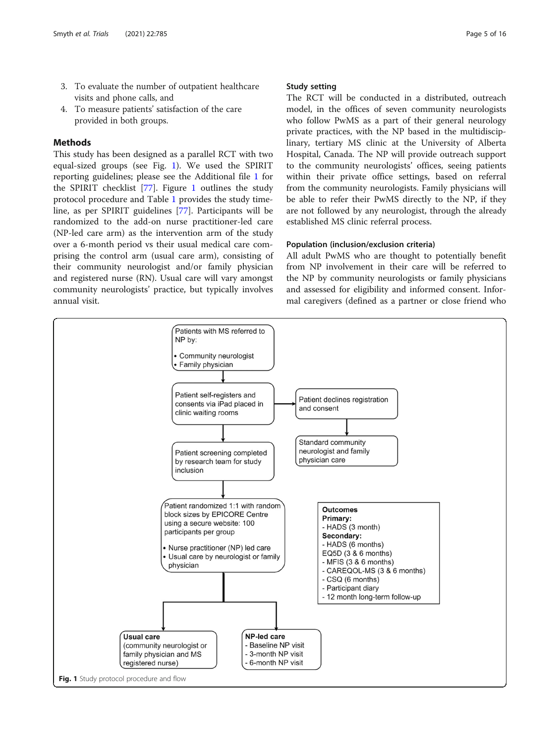- 3. To evaluate the number of outpatient healthcare visits and phone calls, and
- 4. To measure patients' satisfaction of the care provided in both groups.

### Methods

This study has been designed as a parallel RCT with two equal-sized groups (see Fig. 1). We used the SPIRIT reporting guidelines; please see the Additional file [1](#page-12-0) for the SPIRIT checklist [[77\]](#page-14-0). Figure 1 outlines the study protocol procedure and Table [1](#page-5-0) provides the study timeline, as per SPIRIT guidelines [\[77](#page-14-0)]. Participants will be randomized to the add-on nurse practitioner-led care (NP-led care arm) as the intervention arm of the study over a 6-month period vs their usual medical care comprising the control arm (usual care arm), consisting of their community neurologist and/or family physician and registered nurse (RN). Usual care will vary amongst community neurologists' practice, but typically involves annual visit.

#### Study setting

The RCT will be conducted in a distributed, outreach model, in the offices of seven community neurologists who follow PwMS as a part of their general neurology private practices, with the NP based in the multidisciplinary, tertiary MS clinic at the University of Alberta Hospital, Canada. The NP will provide outreach support to the community neurologists' offices, seeing patients within their private office settings, based on referral from the community neurologists. Family physicians will be able to refer their PwMS directly to the NP, if they are not followed by any neurologist, through the already established MS clinic referral process.

#### Population (inclusion/exclusion criteria)

All adult PwMS who are thought to potentially benefit from NP involvement in their care will be referred to the NP by community neurologists or family physicians and assessed for eligibility and informed consent. Informal caregivers (defined as a partner or close friend who

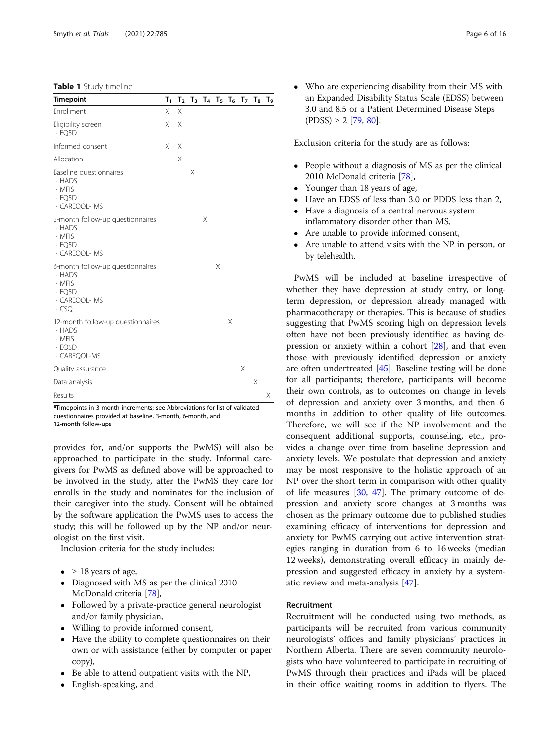<span id="page-5-0"></span>Table 1 Study timeline

| <b>Timepoint</b>                                                                           |   |          |   |   | $T_1$ $T_2$ $T_3$ $T_4$ $T_5$ $T_6$ $T_7$ $T_8$ $T_9$ |   |   |   |   |
|--------------------------------------------------------------------------------------------|---|----------|---|---|-------------------------------------------------------|---|---|---|---|
| Enrollment                                                                                 | X | $\times$ |   |   |                                                       |   |   |   |   |
| Eligibility screen<br>$-$ EQ5D                                                             | X | X        |   |   |                                                       |   |   |   |   |
| Informed consent                                                                           | X | X        |   |   |                                                       |   |   |   |   |
| Allocation                                                                                 |   | X        |   |   |                                                       |   |   |   |   |
| Baseline questionnaires<br>- HADS<br>- MFIS<br>$-$ EO5D<br>- CAREQOL- MS                   |   |          | Χ |   |                                                       |   |   |   |   |
| 3-month follow-up questionnaires<br>- HADS<br>- MFIS<br>$-$ EQ5D<br>- CAREQOL- MS          |   |          |   | Χ |                                                       |   |   |   |   |
| 6-month follow-up questionnaires<br>- HADS<br>- MFIS<br>$-$ EQ5D<br>- CAREQOL- MS<br>- CSQ |   |          |   |   | X                                                     |   |   |   |   |
| 12-month follow-up questionnaires<br>- HADS<br>- MFIS<br>$-$ EQ5D<br>- CAREQOL-MS          |   |          |   |   |                                                       | Χ |   |   |   |
| Quality assurance                                                                          |   |          |   |   |                                                       |   | X |   |   |
| Data analysis                                                                              |   |          |   |   |                                                       |   |   | Χ |   |
| Results                                                                                    |   |          |   |   |                                                       |   |   |   | Χ |

\*Timepoints in 3-month increments; see Abbreviations for list of validated questionnaires provided at baseline, 3-month, 6-month, and 12-month follow-ups

provides for, and/or supports the PwMS) will also be approached to participate in the study. Informal caregivers for PwMS as defined above will be approached to be involved in the study, after the PwMS they care for enrolls in the study and nominates for the inclusion of their caregiver into the study. Consent will be obtained by the software application the PwMS uses to access the study; this will be followed up by the NP and/or neurologist on the first visit.

Inclusion criteria for the study includes:

- $\geq 18$  years of age,
- Diagnosed with MS as per the clinical 2010 McDonald criteria [[78\]](#page-15-0),
- Followed by a private-practice general neurologist and/or family physician,
- Willing to provide informed consent,
- Have the ability to complete questionnaires on their own or with assistance (either by computer or paper copy),
- Be able to attend outpatient visits with the NP,
- English-speaking, and

 Who are experiencing disability from their MS with an Expanded Disability Status Scale (EDSS) between 3.0 and 8.5 or a Patient Determined Disease Steps  $($ PDSS $) \ge 2$  [\[79](#page-15-0), [80\]](#page-15-0).

Exclusion criteria for the study are as follows:

- People without a diagnosis of MS as per the clinical 2010 McDonald criteria [\[78\]](#page-15-0),
- Younger than 18 years of age,
- Have an EDSS of less than 3.0 or PDDS less than 2,
- Have a diagnosis of a central nervous system inflammatory disorder other than MS,
- Are unable to provide informed consent,
- Are unable to attend visits with the NP in person, or by telehealth.

PwMS will be included at baseline irrespective of whether they have depression at study entry, or longterm depression, or depression already managed with pharmacotherapy or therapies. This is because of studies suggesting that PwMS scoring high on depression levels often have not been previously identified as having depression or anxiety within a cohort [\[28](#page-13-0)], and that even those with previously identified depression or anxiety are often undertreated [\[45\]](#page-14-0). Baseline testing will be done for all participants; therefore, participants will become their own controls, as to outcomes on change in levels of depression and anxiety over 3 months, and then 6 months in addition to other quality of life outcomes. Therefore, we will see if the NP involvement and the consequent additional supports, counseling, etc., provides a change over time from baseline depression and anxiety levels. We postulate that depression and anxiety may be most responsive to the holistic approach of an NP over the short term in comparison with other quality of life measures  $[30, 47]$  $[30, 47]$  $[30, 47]$  $[30, 47]$ . The primary outcome of depression and anxiety score changes at 3 months was chosen as the primary outcome due to published studies examining efficacy of interventions for depression and anxiety for PwMS carrying out active intervention strategies ranging in duration from 6 to 16 weeks (median 12 weeks), demonstrating overall efficacy in mainly depression and suggested efficacy in anxiety by a systematic review and meta-analysis [[47](#page-14-0)].

#### Recruitment

Recruitment will be conducted using two methods, as participants will be recruited from various community neurologists' offices and family physicians' practices in Northern Alberta. There are seven community neurologists who have volunteered to participate in recruiting of PwMS through their practices and iPads will be placed in their office waiting rooms in addition to flyers. The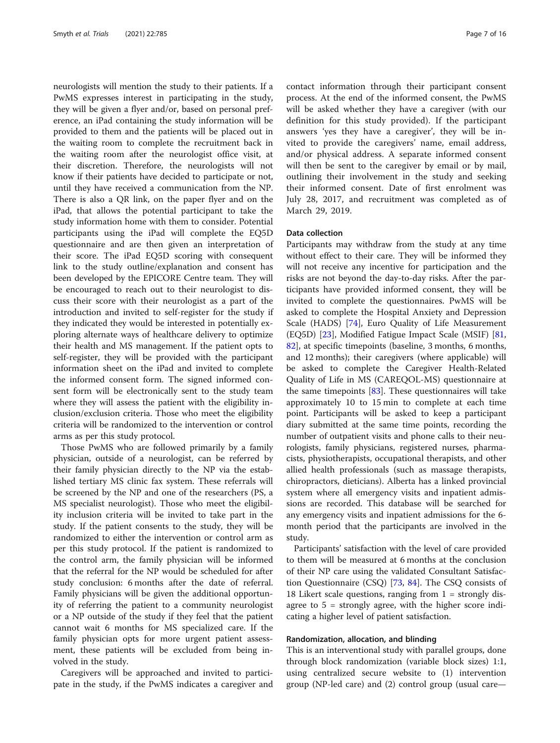neurologists will mention the study to their patients. If a PwMS expresses interest in participating in the study, they will be given a flyer and/or, based on personal preference, an iPad containing the study information will be provided to them and the patients will be placed out in the waiting room to complete the recruitment back in the waiting room after the neurologist office visit, at their discretion. Therefore, the neurologists will not know if their patients have decided to participate or not, until they have received a communication from the NP. There is also a QR link, on the paper flyer and on the iPad, that allows the potential participant to take the study information home with them to consider. Potential participants using the iPad will complete the EQ5D questionnaire and are then given an interpretation of their score. The iPad EQ5D scoring with consequent link to the study outline/explanation and consent has been developed by the EPICORE Centre team. They will be encouraged to reach out to their neurologist to discuss their score with their neurologist as a part of the introduction and invited to self-register for the study if they indicated they would be interested in potentially exploring alternate ways of healthcare delivery to optimize their health and MS management. If the patient opts to self-register, they will be provided with the participant information sheet on the iPad and invited to complete the informed consent form. The signed informed consent form will be electronically sent to the study team where they will assess the patient with the eligibility inclusion/exclusion criteria. Those who meet the eligibility criteria will be randomized to the intervention or control arms as per this study protocol.

Those PwMS who are followed primarily by a family physician, outside of a neurologist, can be referred by their family physician directly to the NP via the established tertiary MS clinic fax system. These referrals will be screened by the NP and one of the researchers (PS, a MS specialist neurologist). Those who meet the eligibility inclusion criteria will be invited to take part in the study. If the patient consents to the study, they will be randomized to either the intervention or control arm as per this study protocol. If the patient is randomized to the control arm, the family physician will be informed that the referral for the NP would be scheduled for after study conclusion: 6 months after the date of referral. Family physicians will be given the additional opportunity of referring the patient to a community neurologist or a NP outside of the study if they feel that the patient cannot wait 6 months for MS specialized care. If the family physician opts for more urgent patient assessment, these patients will be excluded from being involved in the study.

Caregivers will be approached and invited to participate in the study, if the PwMS indicates a caregiver and

contact information through their participant consent process. At the end of the informed consent, the PwMS will be asked whether they have a caregiver (with our definition for this study provided). If the participant answers 'yes they have a caregiver', they will be invited to provide the caregivers' name, email address, and/or physical address. A separate informed consent will then be sent to the caregiver by email or by mail, outlining their involvement in the study and seeking their informed consent. Date of first enrolment was July 28, 2017, and recruitment was completed as of March 29, 2019.

#### Data collection

Participants may withdraw from the study at any time without effect to their care. They will be informed they will not receive any incentive for participation and the risks are not beyond the day-to-day risks. After the participants have provided informed consent, they will be invited to complete the questionnaires. PwMS will be asked to complete the Hospital Anxiety and Depression Scale (HADS) [[74\]](#page-14-0), Euro Quality of Life Measurement (EQ5D) [[23\]](#page-13-0), Modified Fatigue Impact Scale (MSIF) [[81](#page-15-0), [82\]](#page-15-0), at specific timepoints (baseline, 3 months, 6 months, and 12 months); their caregivers (where applicable) will be asked to complete the Caregiver Health-Related Quality of Life in MS (CAREQOL-MS) questionnaire at the same timepoints  $[83]$ . These questionnaires will take approximately 10 to 15 min to complete at each time point. Participants will be asked to keep a participant diary submitted at the same time points, recording the number of outpatient visits and phone calls to their neurologists, family physicians, registered nurses, pharmacists, physiotherapists, occupational therapists, and other allied health professionals (such as massage therapists, chiropractors, dieticians). Alberta has a linked provincial system where all emergency visits and inpatient admissions are recorded. This database will be searched for any emergency visits and inpatient admissions for the 6 month period that the participants are involved in the study.

Participants' satisfaction with the level of care provided to them will be measured at 6 months at the conclusion of their NP care using the validated Consultant Satisfaction Questionnaire (CSQ) [\[73](#page-14-0), [84\]](#page-15-0). The CSQ consists of 18 Likert scale questions, ranging from  $1 =$  strongly disagree to  $5 =$  strongly agree, with the higher score indicating a higher level of patient satisfaction.

#### Randomization, allocation, and blinding

This is an interventional study with parallel groups, done through block randomization (variable block sizes) 1:1, using centralized secure website to (1) intervention group (NP-led care) and (2) control group (usual care—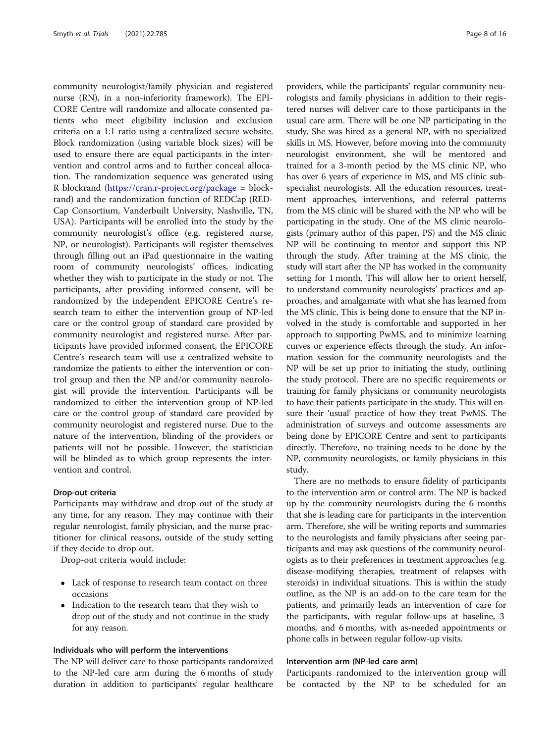community neurologist/family physician and registered nurse (RN), in a non-inferiority framework). The EPI-CORE Centre will randomize and allocate consented patients who meet eligibility inclusion and exclusion criteria on a 1:1 ratio using a centralized secure website. Block randomization (using variable block sizes) will be used to ensure there are equal participants in the intervention and control arms and to further conceal allocation. The randomization sequence was generated using R blockrand [\(https://cran.r-project.org/package](https://cran.r-project.org/package) = blockrand) and the randomization function of REDCap (RED-Cap Consortium, Vanderbuilt University, Nashville, TN, USA). Participants will be enrolled into the study by the community neurologist's office (e.g. registered nurse, NP, or neurologist). Participants will register themselves through filling out an iPad questionnaire in the waiting room of community neurologists' offices, indicating whether they wish to participate in the study or not. The participants, after providing informed consent, will be randomized by the independent EPICORE Centre's research team to either the intervention group of NP-led care or the control group of standard care provided by community neurologist and registered nurse. After participants have provided informed consent, the EPICORE Centre's research team will use a centralized website to randomize the patients to either the intervention or control group and then the NP and/or community neurologist will provide the intervention. Participants will be randomized to either the intervention group of NP-led care or the control group of standard care provided by community neurologist and registered nurse. Due to the nature of the intervention, blinding of the providers or patients will not be possible. However, the statistician will be blinded as to which group represents the intervention and control.

#### Drop-out criteria

Participants may withdraw and drop out of the study at any time, for any reason. They may continue with their regular neurologist, family physician, and the nurse practitioner for clinical reasons, outside of the study setting if they decide to drop out.

Drop-out criteria would include:

- Lack of response to research team contact on three occasions
- Indication to the research team that they wish to drop out of the study and not continue in the study for any reason.

#### Individuals who will perform the interventions

The NP will deliver care to those participants randomized to the NP-led care arm during the 6 months of study duration in addition to participants' regular healthcare providers, while the participants' regular community neurologists and family physicians in addition to their registered nurses will deliver care to those participants in the usual care arm. There will be one NP participating in the study. She was hired as a general NP, with no specialized skills in MS. However, before moving into the community neurologist environment, she will be mentored and trained for a 3-month period by the MS clinic NP, who has over 6 years of experience in MS, and MS clinic subspecialist neurologists. All the education resources, treatment approaches, interventions, and referral patterns from the MS clinic will be shared with the NP who will be participating in the study. One of the MS clinic neurologists (primary author of this paper, PS) and the MS clinic NP will be continuing to mentor and support this NP through the study. After training at the MS clinic, the study will start after the NP has worked in the community setting for 1 month. This will allow her to orient herself, to understand community neurologists' practices and approaches, and amalgamate with what she has learned from the MS clinic. This is being done to ensure that the NP involved in the study is comfortable and supported in her approach to supporting PwMS, and to minimize learning curves or experience effects through the study. An information session for the community neurologists and the NP will be set up prior to initiating the study, outlining the study protocol. There are no specific requirements or training for family physicians or community neurologists to have their patients participate in the study. This will ensure their 'usual' practice of how they treat PwMS. The administration of surveys and outcome assessments are being done by EPICORE Centre and sent to participants directly. Therefore, no training needs to be done by the NP, community neurologists, or family physicians in this study.

There are no methods to ensure fidelity of participants to the intervention arm or control arm. The NP is backed up by the community neurologists during the 6 months that she is leading care for participants in the intervention arm. Therefore, she will be writing reports and summaries to the neurologists and family physicians after seeing participants and may ask questions of the community neurologists as to their preferences in treatment approaches (e.g. disease-modifying therapies, treatment of relapses with steroids) in individual situations. This is within the study outline, as the NP is an add-on to the care team for the patients, and primarily leads an intervention of care for the participants, with regular follow-ups at baseline, 3 months, and 6 months, with as-needed appointments or phone calls in between regular follow-up visits.

#### Intervention arm (NP-led care arm)

Participants randomized to the intervention group will be contacted by the NP to be scheduled for an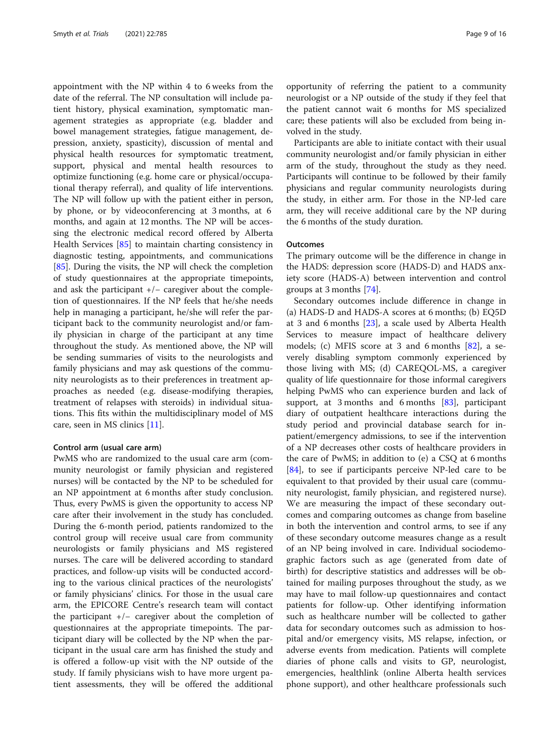appointment with the NP within 4 to 6 weeks from the date of the referral. The NP consultation will include patient history, physical examination, symptomatic management strategies as appropriate (e.g. bladder and bowel management strategies, fatigue management, depression, anxiety, spasticity), discussion of mental and physical health resources for symptomatic treatment, support, physical and mental health resources to optimize functioning (e.g. home care or physical/occupational therapy referral), and quality of life interventions. The NP will follow up with the patient either in person, by phone, or by videoconferencing at 3 months, at 6 months, and again at 12 months. The NP will be accessing the electronic medical record offered by Alberta Health Services [\[85\]](#page-15-0) to maintain charting consistency in diagnostic testing, appointments, and communications [[85\]](#page-15-0). During the visits, the NP will check the completion of study questionnaires at the appropriate timepoints, and ask the participant +/− caregiver about the completion of questionnaires. If the NP feels that he/she needs help in managing a participant, he/she will refer the participant back to the community neurologist and/or family physician in charge of the participant at any time throughout the study. As mentioned above, the NP will be sending summaries of visits to the neurologists and family physicians and may ask questions of the community neurologists as to their preferences in treatment approaches as needed (e.g. disease-modifying therapies, treatment of relapses with steroids) in individual situations. This fits within the multidisciplinary model of MS care, seen in MS clinics [\[11](#page-13-0)].

#### Control arm (usual care arm)

PwMS who are randomized to the usual care arm (community neurologist or family physician and registered nurses) will be contacted by the NP to be scheduled for an NP appointment at 6 months after study conclusion. Thus, every PwMS is given the opportunity to access NP care after their involvement in the study has concluded. During the 6-month period, patients randomized to the control group will receive usual care from community neurologists or family physicians and MS registered nurses. The care will be delivered according to standard practices, and follow-up visits will be conducted according to the various clinical practices of the neurologists' or family physicians' clinics. For those in the usual care arm, the EPICORE Centre's research team will contact the participant +/− caregiver about the completion of questionnaires at the appropriate timepoints. The participant diary will be collected by the NP when the participant in the usual care arm has finished the study and is offered a follow-up visit with the NP outside of the study. If family physicians wish to have more urgent patient assessments, they will be offered the additional

opportunity of referring the patient to a community neurologist or a NP outside of the study if they feel that the patient cannot wait 6 months for MS specialized care; these patients will also be excluded from being involved in the study.

Participants are able to initiate contact with their usual community neurologist and/or family physician in either arm of the study, throughout the study as they need. Participants will continue to be followed by their family physicians and regular community neurologists during the study, in either arm. For those in the NP-led care arm, they will receive additional care by the NP during the 6 months of the study duration.

#### **Outcomes**

The primary outcome will be the difference in change in the HADS: depression score (HADS-D) and HADS anxiety score (HADS-A) between intervention and control groups at 3 months [[74\]](#page-14-0).

Secondary outcomes include difference in change in (a) HADS-D and HADS-A scores at 6 months; (b) EQ5D at 3 and 6 months  $[23]$  $[23]$ , a scale used by Alberta Health Services to measure impact of healthcare delivery models; (c) MFIS score at 3 and 6 months  $[82]$  $[82]$ , a severely disabling symptom commonly experienced by those living with MS; (d) CAREQOL-MS, a caregiver quality of life questionnaire for those informal caregivers helping PwMS who can experience burden and lack of support, at 3 months and 6 months  $[83]$  $[83]$ , participant diary of outpatient healthcare interactions during the study period and provincial database search for inpatient/emergency admissions, to see if the intervention of a NP decreases other costs of healthcare providers in the care of PwMS; in addition to (e) a CSQ at 6 months [[84\]](#page-15-0), to see if participants perceive NP-led care to be equivalent to that provided by their usual care (community neurologist, family physician, and registered nurse). We are measuring the impact of these secondary outcomes and comparing outcomes as change from baseline in both the intervention and control arms, to see if any of these secondary outcome measures change as a result of an NP being involved in care. Individual sociodemographic factors such as age (generated from date of birth) for descriptive statistics and addresses will be obtained for mailing purposes throughout the study, as we may have to mail follow-up questionnaires and contact patients for follow-up. Other identifying information such as healthcare number will be collected to gather data for secondary outcomes such as admission to hospital and/or emergency visits, MS relapse, infection, or adverse events from medication. Patients will complete diaries of phone calls and visits to GP, neurologist, emergencies, healthlink (online Alberta health services phone support), and other healthcare professionals such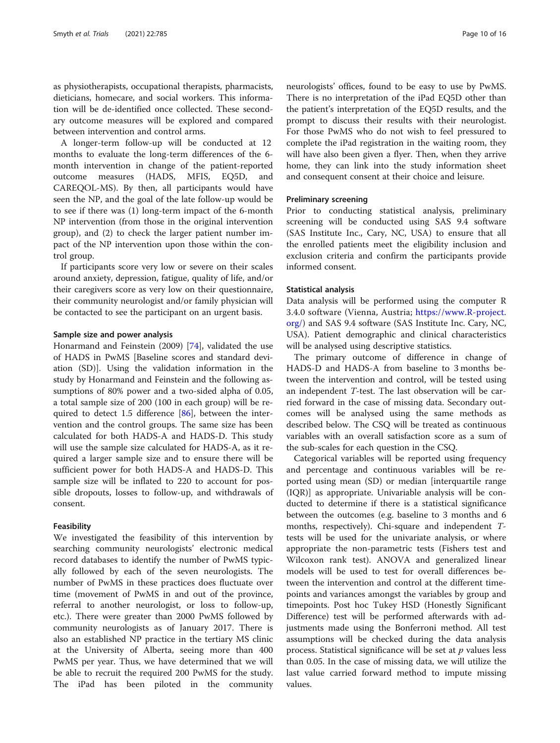as physiotherapists, occupational therapists, pharmacists, dieticians, homecare, and social workers. This information will be de-identified once collected. These secondary outcome measures will be explored and compared between intervention and control arms.

A longer-term follow-up will be conducted at 12 months to evaluate the long-term differences of the 6 month intervention in change of the patient-reported outcome measures (HADS, MFIS, EQ5D, and CAREQOL-MS). By then, all participants would have seen the NP, and the goal of the late follow-up would be to see if there was (1) long-term impact of the 6-month NP intervention (from those in the original intervention group), and (2) to check the larger patient number impact of the NP intervention upon those within the control group.

If participants score very low or severe on their scales around anxiety, depression, fatigue, quality of life, and/or their caregivers score as very low on their questionnaire, their community neurologist and/or family physician will be contacted to see the participant on an urgent basis.

#### Sample size and power analysis

Honarmand and Feinstein (2009) [[74](#page-14-0)], validated the use of HADS in PwMS [Baseline scores and standard deviation (SD)]. Using the validation information in the study by Honarmand and Feinstein and the following assumptions of 80% power and a two-sided alpha of 0.05, a total sample size of 200 (100 in each group) will be required to detect 1.5 difference [\[86\]](#page-15-0), between the intervention and the control groups. The same size has been calculated for both HADS-A and HADS-D. This study will use the sample size calculated for HADS-A, as it required a larger sample size and to ensure there will be sufficient power for both HADS-A and HADS-D. This sample size will be inflated to 220 to account for possible dropouts, losses to follow-up, and withdrawals of consent.

#### Feasibility

We investigated the feasibility of this intervention by searching community neurologists' electronic medical record databases to identify the number of PwMS typically followed by each of the seven neurologists. The number of PwMS in these practices does fluctuate over time (movement of PwMS in and out of the province, referral to another neurologist, or loss to follow-up, etc.). There were greater than 2000 PwMS followed by community neurologists as of January 2017. There is also an established NP practice in the tertiary MS clinic at the University of Alberta, seeing more than 400 PwMS per year. Thus, we have determined that we will be able to recruit the required 200 PwMS for the study. The iPad has been piloted in the community neurologists' offices, found to be easy to use by PwMS. There is no interpretation of the iPad EQ5D other than the patient's interpretation of the EQ5D results, and the prompt to discuss their results with their neurologist. For those PwMS who do not wish to feel pressured to complete the iPad registration in the waiting room, they will have also been given a flyer. Then, when they arrive home, they can link into the study information sheet

#### Preliminary screening

Prior to conducting statistical analysis, preliminary screening will be conducted using SAS 9.4 software (SAS Institute Inc., Cary, NC, USA) to ensure that all the enrolled patients meet the eligibility inclusion and exclusion criteria and confirm the participants provide informed consent.

and consequent consent at their choice and leisure.

#### Statistical analysis

Data analysis will be performed using the computer R 3.4.0 software (Vienna, Austria; [https://www.R-project.](https://www.r-project.org/) [org/\)](https://www.r-project.org/) and SAS 9.4 software (SAS Institute Inc. Cary, NC, USA). Patient demographic and clinical characteristics will be analysed using descriptive statistics.

The primary outcome of difference in change of HADS-D and HADS-A from baseline to 3 months between the intervention and control, will be tested using an independent T-test. The last observation will be carried forward in the case of missing data. Secondary outcomes will be analysed using the same methods as described below. The CSQ will be treated as continuous variables with an overall satisfaction score as a sum of the sub-scales for each question in the CSQ.

Categorical variables will be reported using frequency and percentage and continuous variables will be reported using mean (SD) or median [interquartile range (IQR)] as appropriate. Univariable analysis will be conducted to determine if there is a statistical significance between the outcomes (e.g. baseline to 3 months and 6 months, respectively). Chi-square and independent Ttests will be used for the univariate analysis, or where appropriate the non-parametric tests (Fishers test and Wilcoxon rank test). ANOVA and generalized linear models will be used to test for overall differences between the intervention and control at the different timepoints and variances amongst the variables by group and timepoints. Post hoc Tukey HSD (Honestly Significant Difference) test will be performed afterwards with adjustments made using the Bonferroni method. All test assumptions will be checked during the data analysis process. Statistical significance will be set at  $p$  values less than 0.05. In the case of missing data, we will utilize the last value carried forward method to impute missing values.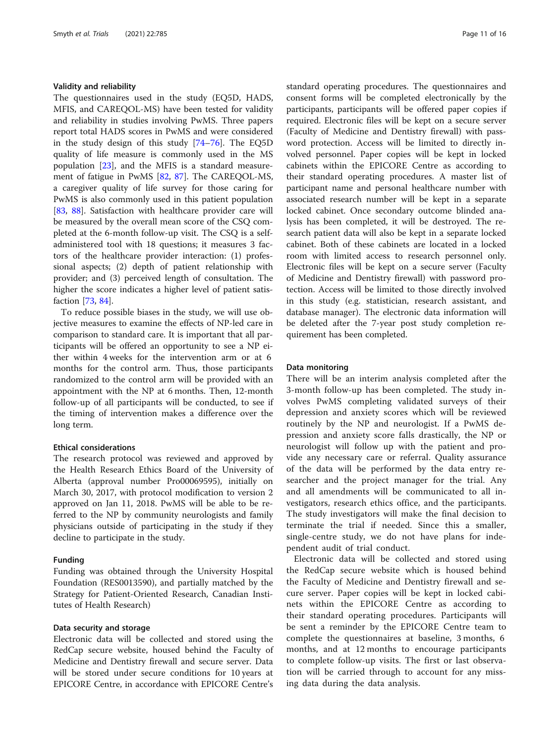#### Validity and reliability

The questionnaires used in the study (EQ5D, HADS, MFIS, and CAREQOL-MS) have been tested for validity and reliability in studies involving PwMS. Three papers report total HADS scores in PwMS and were considered in the study design of this study [\[74](#page-14-0)–[76\]](#page-14-0). The EQ5D quality of life measure is commonly used in the MS population [[23](#page-13-0)], and the MFIS is a standard measurement of fatigue in PwMS [[82,](#page-15-0) [87](#page-15-0)]. The CAREQOL-MS, a caregiver quality of life survey for those caring for PwMS is also commonly used in this patient population [[83,](#page-15-0) [88](#page-15-0)]. Satisfaction with healthcare provider care will be measured by the overall mean score of the CSQ completed at the 6-month follow-up visit. The CSQ is a selfadministered tool with 18 questions; it measures 3 factors of the healthcare provider interaction: (1) professional aspects; (2) depth of patient relationship with provider; and (3) perceived length of consultation. The higher the score indicates a higher level of patient satisfaction [[73,](#page-14-0) [84](#page-15-0)].

To reduce possible biases in the study, we will use objective measures to examine the effects of NP-led care in comparison to standard care. It is important that all participants will be offered an opportunity to see a NP either within 4 weeks for the intervention arm or at 6 months for the control arm. Thus, those participants randomized to the control arm will be provided with an appointment with the NP at 6 months. Then, 12-month follow-up of all participants will be conducted, to see if the timing of intervention makes a difference over the long term.

#### Ethical considerations

The research protocol was reviewed and approved by the Health Research Ethics Board of the University of Alberta (approval number Pro00069595), initially on March 30, 2017, with protocol modification to version 2 approved on Jan 11, 2018. PwMS will be able to be referred to the NP by community neurologists and family physicians outside of participating in the study if they decline to participate in the study.

#### Funding

Funding was obtained through the University Hospital Foundation (RES0013590), and partially matched by the Strategy for Patient-Oriented Research, Canadian Institutes of Health Research)

#### Data security and storage

Electronic data will be collected and stored using the RedCap secure website, housed behind the Faculty of Medicine and Dentistry firewall and secure server. Data will be stored under secure conditions for 10 years at EPICORE Centre, in accordance with EPICORE Centre's standard operating procedures. The questionnaires and consent forms will be completed electronically by the participants, participants will be offered paper copies if required. Electronic files will be kept on a secure server (Faculty of Medicine and Dentistry firewall) with password protection. Access will be limited to directly involved personnel. Paper copies will be kept in locked cabinets within the EPICORE Centre as according to their standard operating procedures. A master list of participant name and personal healthcare number with associated research number will be kept in a separate locked cabinet. Once secondary outcome blinded analysis has been completed, it will be destroyed. The research patient data will also be kept in a separate locked cabinet. Both of these cabinets are located in a locked room with limited access to research personnel only. Electronic files will be kept on a secure server (Faculty of Medicine and Dentistry firewall) with password protection. Access will be limited to those directly involved in this study (e.g. statistician, research assistant, and database manager). The electronic data information will be deleted after the 7-year post study completion requirement has been completed.

#### Data monitoring

There will be an interim analysis completed after the 3-month follow-up has been completed. The study involves PwMS completing validated surveys of their depression and anxiety scores which will be reviewed routinely by the NP and neurologist. If a PwMS depression and anxiety score falls drastically, the NP or neurologist will follow up with the patient and provide any necessary care or referral. Quality assurance of the data will be performed by the data entry researcher and the project manager for the trial. Any and all amendments will be communicated to all investigators, research ethics office, and the participants. The study investigators will make the final decision to terminate the trial if needed. Since this a smaller, single-centre study, we do not have plans for independent audit of trial conduct.

Electronic data will be collected and stored using the RedCap secure website which is housed behind the Faculty of Medicine and Dentistry firewall and secure server. Paper copies will be kept in locked cabinets within the EPICORE Centre as according to their standard operating procedures. Participants will be sent a reminder by the EPICORE Centre team to complete the questionnaires at baseline, 3 months, 6 months, and at 12 months to encourage participants to complete follow-up visits. The first or last observation will be carried through to account for any missing data during the data analysis.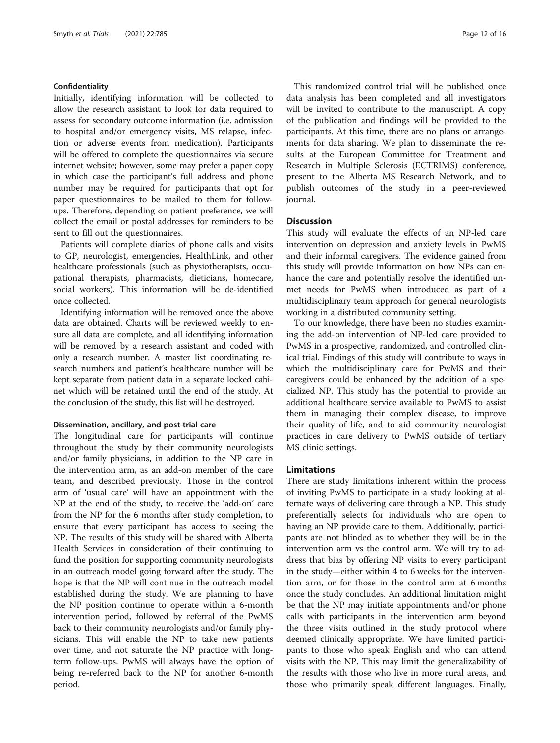#### Confidentiality

Initially, identifying information will be collected to allow the research assistant to look for data required to assess for secondary outcome information (i.e. admission to hospital and/or emergency visits, MS relapse, infection or adverse events from medication). Participants will be offered to complete the questionnaires via secure internet website; however, some may prefer a paper copy in which case the participant's full address and phone number may be required for participants that opt for paper questionnaires to be mailed to them for followups. Therefore, depending on patient preference, we will collect the email or postal addresses for reminders to be sent to fill out the questionnaires.

Patients will complete diaries of phone calls and visits to GP, neurologist, emergencies, HealthLink, and other healthcare professionals (such as physiotherapists, occupational therapists, pharmacists, dieticians, homecare, social workers). This information will be de-identified once collected.

Identifying information will be removed once the above data are obtained. Charts will be reviewed weekly to ensure all data are complete, and all identifying information will be removed by a research assistant and coded with only a research number. A master list coordinating research numbers and patient's healthcare number will be kept separate from patient data in a separate locked cabinet which will be retained until the end of the study. At the conclusion of the study, this list will be destroyed.

#### Dissemination, ancillary, and post-trial care

The longitudinal care for participants will continue throughout the study by their community neurologists and/or family physicians, in addition to the NP care in the intervention arm, as an add-on member of the care team, and described previously. Those in the control arm of 'usual care' will have an appointment with the NP at the end of the study, to receive the 'add-on' care from the NP for the 6 months after study completion, to ensure that every participant has access to seeing the NP. The results of this study will be shared with Alberta Health Services in consideration of their continuing to fund the position for supporting community neurologists in an outreach model going forward after the study. The hope is that the NP will continue in the outreach model established during the study. We are planning to have the NP position continue to operate within a 6-month intervention period, followed by referral of the PwMS back to their community neurologists and/or family physicians. This will enable the NP to take new patients over time, and not saturate the NP practice with longterm follow-ups. PwMS will always have the option of being re-referred back to the NP for another 6-month period.

This randomized control trial will be published once data analysis has been completed and all investigators will be invited to contribute to the manuscript. A copy of the publication and findings will be provided to the participants. At this time, there are no plans or arrangements for data sharing. We plan to disseminate the results at the European Committee for Treatment and Research in Multiple Sclerosis (ECTRIMS) conference, present to the Alberta MS Research Network, and to publish outcomes of the study in a peer-reviewed journal.

#### **Discussion**

This study will evaluate the effects of an NP-led care intervention on depression and anxiety levels in PwMS and their informal caregivers. The evidence gained from this study will provide information on how NPs can enhance the care and potentially resolve the identified unmet needs for PwMS when introduced as part of a multidisciplinary team approach for general neurologists working in a distributed community setting.

To our knowledge, there have been no studies examining the add-on intervention of NP-led care provided to PwMS in a prospective, randomized, and controlled clinical trial. Findings of this study will contribute to ways in which the multidisciplinary care for PwMS and their caregivers could be enhanced by the addition of a specialized NP. This study has the potential to provide an additional healthcare service available to PwMS to assist them in managing their complex disease, to improve their quality of life, and to aid community neurologist practices in care delivery to PwMS outside of tertiary MS clinic settings.

#### Limitations

There are study limitations inherent within the process of inviting PwMS to participate in a study looking at alternate ways of delivering care through a NP. This study preferentially selects for individuals who are open to having an NP provide care to them. Additionally, participants are not blinded as to whether they will be in the intervention arm vs the control arm. We will try to address that bias by offering NP visits to every participant in the study—either within 4 to 6 weeks for the intervention arm, or for those in the control arm at 6 months once the study concludes. An additional limitation might be that the NP may initiate appointments and/or phone calls with participants in the intervention arm beyond the three visits outlined in the study protocol where deemed clinically appropriate. We have limited participants to those who speak English and who can attend visits with the NP. This may limit the generalizability of the results with those who live in more rural areas, and those who primarily speak different languages. Finally,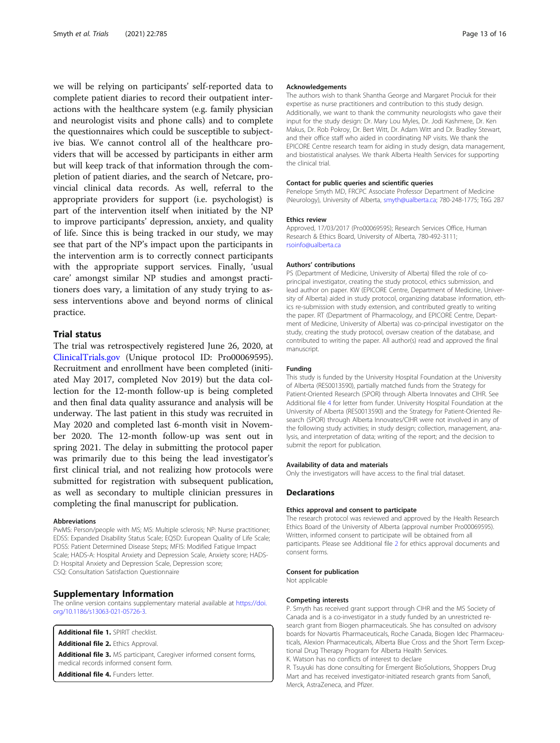<span id="page-12-0"></span>we will be relying on participants' self-reported data to complete patient diaries to record their outpatient interactions with the healthcare system (e.g. family physician and neurologist visits and phone calls) and to complete the questionnaires which could be susceptible to subjective bias. We cannot control all of the healthcare providers that will be accessed by participants in either arm but will keep track of that information through the completion of patient diaries, and the search of Netcare, provincial clinical data records. As well, referral to the appropriate providers for support (i.e. psychologist) is part of the intervention itself when initiated by the NP to improve participants' depression, anxiety, and quality of life. Since this is being tracked in our study, we may see that part of the NP's impact upon the participants in the intervention arm is to correctly connect participants with the appropriate support services. Finally, 'usual care' amongst similar NP studies and amongst practitioners does vary, a limitation of any study trying to assess interventions above and beyond norms of clinical practice.

#### Trial status

The trial was retrospectively registered June 26, 2020, at [ClinicalTrials.gov](http://clinicaltrials.gov) (Unique protocol ID: Pro00069595). Recruitment and enrollment have been completed (initiated May 2017, completed Nov 2019) but the data collection for the 12-month follow-up is being completed and then final data quality assurance and analysis will be underway. The last patient in this study was recruited in May 2020 and completed last 6-month visit in November 2020. The 12-month follow-up was sent out in spring 2021. The delay in submitting the protocol paper was primarily due to this being the lead investigator's first clinical trial, and not realizing how protocols were submitted for registration with subsequent publication, as well as secondary to multiple clinician pressures in completing the final manuscript for publication.

#### **Abbreviations**

PwMS: Person/people with MS; MS: Multiple sclerosis; NP: Nurse practitioner; EDSS: Expanded Disability Status Scale; EQ5D: European Quality of Life Scale; PDSS: Patient Determined Disease Steps; MFIS: Modified Fatigue Impact Scale; HADS-A: Hospital Anxiety and Depression Scale, Anxiety score; HADS-D: Hospital Anxiety and Depression Scale, Depression score; CSQ: Consultation Satisfaction Questionnaire

#### Supplementary Information

The online version contains supplementary material available at [https://doi.](https://doi.org/10.1186/s13063-021-05726-3) [org/10.1186/s13063-021-05726-3.](https://doi.org/10.1186/s13063-021-05726-3)

Additional file 1. SPIRIT checklist.

Additional file 2. Ethics Approval.

Additional file 3. MS participant, Caregiver informed consent forms, medical records informed consent form.

Additional file 4. Funders letter.

#### Acknowledgements

The authors wish to thank Shantha George and Margaret Prociuk for their expertise as nurse practitioners and contribution to this study design. Additionally, we want to thank the community neurologists who gave their input for the study design: Dr. Mary Lou Myles, Dr. Jodi Kashmere, Dr. Ken Makus, Dr. Rob Pokroy, Dr. Bert Witt, Dr. Adam Witt and Dr. Bradley Stewart, and their office staff who aided in coordinating NP visits. We thank the EPICORE Centre research team for aiding in study design, data management, and biostatistical analyses. We thank Alberta Health Services for supporting the clinical trial.

#### Contact for public queries and scientific queries

Penelope Smyth MD, FRCPC Associate Professor Department of Medicine (Neurology), University of Alberta, [smyth@ualberta.ca](mailto:smyth@ualberta.ca); 780-248-1775; T6G 2B7

#### Ethics review

Approved, 17/03/2017 (Pro00069595); Research Services Office, Human Research & Ethics Board, University of Alberta, 780-492-3111; [rsoinfo@ualberta.ca](mailto:rsoinfo@ualberta.ca)

#### Authors' contributions

PS (Department of Medicine, University of Alberta) filled the role of coprincipal investigator, creating the study protocol, ethics submission, and lead author on paper. KW (EPICORE Centre, Department of Medicine, University of Alberta) aided in study protocol, organizing database information, ethics re-submission with study extension, and contributed greatly to writing the paper. RT (Department of Pharmacology, and EPICORE Centre, Department of Medicine, University of Alberta) was co-principal investigator on the study, creating the study protocol, oversaw creation of the database, and contributed to writing the paper. All author(s) read and approved the final manuscript.

#### Funding

This study is funded by the University Hospital Foundation at the University of Alberta (RES0013590), partially matched funds from the Strategy for Patient-Oriented Research (SPOR) through Alberta Innovates and CIHR. See Additional file 4 for letter from funder. University Hospital Foundation at the University of Alberta (RES0013590) and the Strategy for Patient-Oriented Research (SPOR) through Alberta Innovates/CIHR were not involved in any of the following study activities; in study design; collection, management, analysis, and interpretation of data; writing of the report; and the decision to submit the report for publication.

#### Availability of data and materials

Only the investigators will have access to the final trial dataset.

#### Declarations

#### Ethics approval and consent to participate

The research protocol was reviewed and approved by the Health Research Ethics Board of the University of Alberta (approval number Pro00069595). Written, informed consent to participate will be obtained from all participants. Please see Additional file 2 for ethics approval documents and consent forms.

#### Consent for publication

Not applicable

#### Competing interests

P. Smyth has received grant support through CIHR and the MS Society of Canada and is a co-investigator in a study funded by an unrestricted research grant from Biogen pharmaceuticals. She has consulted on advisory boards for Novartis Pharmaceuticals, Roche Canada, Biogen Idec Pharmaceuticals, Alexion Pharmaceuticals, Alberta Blue Cross and the Short Term Exceptional Drug Therapy Program for Alberta Health Services. K. Watson has no conflicts of interest to declare

R. Tsuyuki has done consulting for Emergent BioSolutions, Shoppers Drug Mart and has received investigator-initiated research grants from Sanofi, Merck, AstraZeneca, and Pfizer.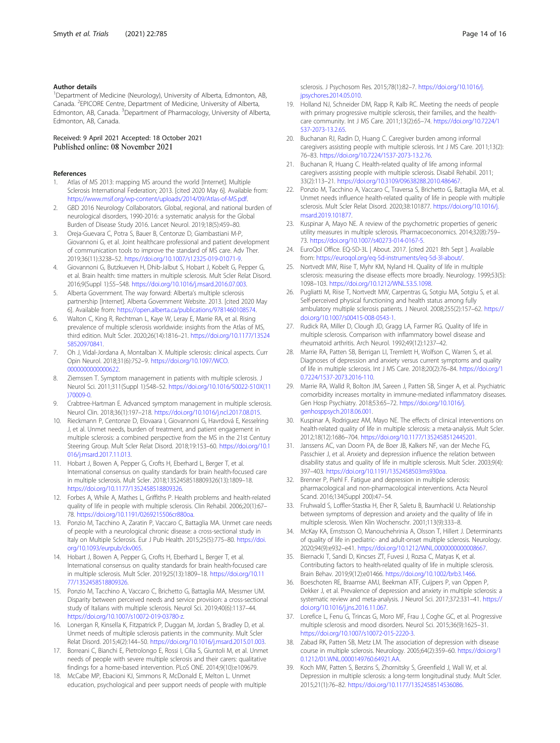#### <span id="page-13-0"></span>Author details

<sup>1</sup>Department of Medicine (Neurology), University of Alberta, Edmonton, AB, Canada. <sup>2</sup>EPICORE Centre, Department of Medicine, University of Alberta, Edmonton, AB, Canada. <sup>3</sup>Department of Pharmacology, University of Alberta, Edmonton, AB, Canada.

Received: 9 April 2021 Accepted: 18 October 2021 Published online: 08 November 2021

#### References

- Atlas of MS 2013: mapping MS around the world [Internet]. Multiple Sclerosis International Federation; 2013. [cited 2020 May 6]. Available from: [https://www.msif.org/wp-content/uploads/2014/09/Atlas-of-MS.pdf.](https://www.msif.org/wp-content/uploads/2014/09/Atlas-of-MS.pdf)
- 2. GBD 2016 Neurology Collaborators. Global, regional, and national burden of neurological disorders, 1990-2016: a systematic analysis for the Global Burden of Disease Study 2016. Lancet Neurol. 2019;18(5):459–80.
- 3. Oreja-Guevara C, Potra S, Bauer B, Centonze D, Giambastiani M-P, Giovannoni G, et al. Joint healthcare professional and patient development of communication tools to improve the standard of MS care. Adv Ther. 2019;36(11):3238–52. <https://doi.org/10.1007/s12325-019-01071-9>.
- 4. Giovannoni G, Butzkueven H, Dhib-Jalbut S, Hobart J, Kobelt G, Pepper G, et al. Brain health: time matters in multiple sclerosis. Mult Scler Relat Disord. 2016;9(Suppl 1):S5–S48. [https://doi.org/10.1016/j.msard.2016.07.003.](https://doi.org/10.1016/j.msard.2016.07.003)
- Alberta Government. The way forward: Alberta's multiple sclerosis partnership [Internet]. Alberta Government Website. 2013. [cited 2020 May 6]. Available from: [https://open.alberta.ca/publications/9781460108574.](https://open.alberta.ca/publications/9781460108574)
- 6. Walton C, King R, Rechtman L, Kaye W, Leray E, Marrie RA, et al. Rising prevalence of multiple sclerosis worldwide: insights from the Atlas of MS, third edition. Mult Scler. 2020;26(14):1816–21. [https://doi.org/10.1177/13524](https://doi.org/10.1177/1352458520970841) [58520970841](https://doi.org/10.1177/1352458520970841).
- 7. Oh J, Vidal-Jordana A, Montalban X. Multiple sclerosis: clinical aspects. Curr Opin Neurol. 2018;31(6):752–9. [https://doi.org/10.1097/WCO.](https://doi.org/10.1097/WCO.0000000000000622) [0000000000000622](https://doi.org/10.1097/WCO.0000000000000622).
- 8. Ziemssen T. Symptom management in patients with multiple sclerosis. J Neurol Sci. 2011;311(Suppl 1):S48–52. [https://doi.org/10.1016/S0022-510X\(11](https://doi.org/10.1016/S0022-510X(11)70009-0) [\)70009-0](https://doi.org/10.1016/S0022-510X(11)70009-0).
- 9. Crabtree-Hartman E. Advanced symptom management in multiple sclerosis. Neurol Clin. 2018;36(1):197–218. [https://doi.org/10.1016/j.ncl.2017.08.015.](https://doi.org/10.1016/j.ncl.2017.08.015)
- 10. Rieckmann P, Centonze D, Elovaara I, Giovannoni G, Havrdová E, Kesselring J, et al. Unmet needs, burden of treatment, and patient engagement in multiple sclerosis: a combined perspective from the MS in the 21st Century Steering Group. Mult Scler Relat Disord. 2018;19:153–60. [https://doi.org/10.1](https://doi.org/10.1016/j.msard.2017.11.013) [016/j.msard.2017.11.013.](https://doi.org/10.1016/j.msard.2017.11.013)
- 11. Hobart J, Bowen A, Pepper G, Crofts H, Eberhard L, Berger T, et al. International consensus on quality standards for brain health-focused care in multiple sclerosis. Mult Scler. 2018;1352458518809326(13):1809–18. <https://doi.org/10.1177/1352458518809326>.
- 12. Forbes A, While A, Mathes L, Griffiths P. Health problems and health-related quality of life in people with multiple sclerosis. Clin Rehabil. 2006;20(1):67– 78. [https://doi.org/10.1191/0269215506cr880oa.](https://doi.org/10.1191/0269215506cr880oa)
- 13. Ponzio M, Tacchino A, Zaratin P, Vaccaro C, Battaglia MA. Unmet care needs of people with a neurological chronic disease: a cross-sectional study in Italy on Multiple Sclerosis. Eur J Pub Health. 2015;25(5):775–80. [https://doi.](https://doi.org/10.1093/eurpub/ckv065) [org/10.1093/eurpub/ckv065.](https://doi.org/10.1093/eurpub/ckv065)
- 14. Hobart J, Bowen A, Pepper G, Crofts H, Eberhard L, Berger T, et al. International consensus on quality standards for brain health-focused care in multiple sclerosis. Mult Scler. 2019;25(13):1809–18. [https://doi.org/10.11](https://doi.org/10.1177/1352458518809326) [77/1352458518809326.](https://doi.org/10.1177/1352458518809326)
- 15. Ponzio M, Tacchino A, Vaccaro C, Brichetto G, Battaglia MA, Messmer UM. Disparity between perceived needs and service provision: a cross-sectional study of Italians with multiple sclerosis. Neurol Sci. 2019;40(6):1137–44. [https://doi.org/10.1007/s10072-019-03780-z.](https://doi.org/10.1007/s10072-019-03780-z)
- 16. Lonergan R, Kinsella K, Fitzpatrick P, Duggan M, Jordan S, Bradley D, et al. Unmet needs of multiple sclerosis patients in the community. Mult Scler Relat Disord. 2015;4(2):144–50. [https://doi.org/10.1016/j.msard.2015.01.003.](https://doi.org/10.1016/j.msard.2015.01.003)
- 17. Borreani C, Bianchi E, Pietrolongo E, Rossi I, Cilia S, Giuntoli M, et al. Unmet needs of people with severe multiple sclerosis and their carers: qualitative findings for a home-based intervention. PLoS ONE. 2014;9(10):e109679.
- 18. McCabe MP, Ebacioni KJ, Simmons R, McDonald E, Melton L. Unmet education, psychological and peer support needs of people with multiple

sclerosis. J Psychosom Res. 2015;78(1):82–7. [https://doi.org/10.1016/j.](https://doi.org/10.1016/j.jpsychores.2014.05.010) [jpsychores.2014.05.010.](https://doi.org/10.1016/j.jpsychores.2014.05.010)

- 19. Holland NJ, Schneider DM, Rapp R, Kalb RC. Meeting the needs of people with primary progressive multiple sclerosis, their families, and the healthcare community. Int J MS Care. 2011;13(2):65–74. [https://doi.org/10.7224/1](https://doi.org/10.7224/1537-2073-13.2.65) [537-2073-13.2.65](https://doi.org/10.7224/1537-2073-13.2.65).
- 20. Buchanan RJ, Radin D, Huang C. Caregiver burden among informal caregivers assisting people with multiple sclerosis. Int J MS Care. 2011;13(2): 76–83. <https://doi.org/10.7224/1537-2073-13.2.76>.
- 21. Buchanan R, Huang C. Health-related quality of life among informal caregivers assisting people with multiple sclerosis. Disabil Rehabil. 2011; 33(2):113–21. [https://doi.org/10.3109/09638288.2010.486467.](https://doi.org/10.3109/09638288.2010.486467)
- 22. Ponzio M, Tacchino A, Vaccaro C, Traversa S, Brichetto G, Battaglia MA, et al. Unmet needs influence health-related quality of life in people with multiple sclerosis. Mult Scler Relat Disord. 2020;38:101877. [https://doi.org/10.1016/j.](https://doi.org/10.1016/j.msard.2019.101877) [msard.2019.101877.](https://doi.org/10.1016/j.msard.2019.101877)
- 23. Kuspinar A, Mayo NE. A review of the psychometric properties of generic utility measures in multiple sclerosis. Pharmacoeconomics. 2014;32(8):759– 73. <https://doi.org/10.1007/s40273-014-0167-5>.
- 24. EuroQol Office. EQ-5D-3L | About. 2017. [cited 2021 8th Sept ]. Available from: <https://euroqol.org/eq-5d-instruments/eq-5d-3l-about/>.
- 25. Nortvedt MW, Riise T, Myhr KM, Nyland HI. Quality of life in multiple sclerosis: measuring the disease effects more broadly. Neurology. 1999;53(5): 1098–103. [https://doi.org/10.1212/WNL.53.5.1098.](https://doi.org/10.1212/WNL.53.5.1098)
- 26. Pugliatti M, Riise T, Nortvedt MW, Carpentras G, Sotgiu MA, Sotgiu S, et al. Self-perceived physical functioning and health status among fully ambulatory multiple sclerosis patients. J Neurol. 2008;255(2):157–62. [https://](https://doi.org/10.1007/s00415-008-0543-1) [doi.org/10.1007/s00415-008-0543-1.](https://doi.org/10.1007/s00415-008-0543-1)
- 27. Rudick RA, Miller D, Clough JD, Gragg LA, Farmer RG. Quality of life in multiple sclerosis. Comparison with inflammatory bowel disease and rheumatoid arthritis. Arch Neurol. 1992;49(12):1237–42.
- 28. Marrie RA, Patten SB, Berrigan LI, Tremlett H, Wolfson C, Warren S, et al. Diagnoses of depression and anxiety versus current symptoms and quality of life in multiple sclerosis. Int J MS Care. 2018;20(2):76–84. [https://doi.org/1](https://doi.org/10.7224/1537-2073.2016-110) [0.7224/1537-2073.2016-110.](https://doi.org/10.7224/1537-2073.2016-110)
- 29. Marrie RA, Walld R, Bolton JM, Sareen J, Patten SB, Singer A, et al. Psychiatric comorbidity increases mortality in immune-mediated inflammatory diseases. Gen Hosp Psychiatry. 2018;53:65–72. [https://doi.org/10.1016/j.](https://doi.org/10.1016/j.genhosppsych.2018.06.001) [genhosppsych.2018.06.001.](https://doi.org/10.1016/j.genhosppsych.2018.06.001)
- 30. Kuspinar A, Rodriguez AM, Mayo NE. The effects of clinical interventions on health-related quality of life in multiple sclerosis: a meta-analysis. Mult Scler. 2012;18(12):1686–704. [https://doi.org/10.1177/1352458512445201.](https://doi.org/10.1177/1352458512445201)
- 31. Janssens AC, van Doorn PA, de Boer JB, Kalkers NF, van der Meche FG, Passchier J, et al. Anxiety and depression influence the relation between disability status and quality of life in multiple sclerosis. Mult Scler. 2003;9(4): 397–403. <https://doi.org/10.1191/1352458503ms930oa>.
- 32. Brenner P, Piehl F. Fatigue and depression in multiple sclerosis: pharmacological and non-pharmacological interventions. Acta Neurol Scand. 2016;134(Suppl 200):47–54.
- 33. Fruhwald S, Loffler-Stastka H, Eher R, Saletu B, Baumhackl U. Relationship between symptoms of depression and anxiety and the quality of life in multiple sclerosis. Wien Klin Wochenschr. 2001;113(9):333–8.
- 34. McKay KA, Ernstsson O, Manouchehrinia A, Olsson T, Hillert J. Determinants of quality of life in pediatric- and adult-onset multiple sclerosis. Neurology. 2020;94(9):e932–e41. [https://doi.org/10.1212/WNL.0000000000008667.](https://doi.org/10.1212/WNL.0000000000008667)
- 35. Biernacki T, Sandi D, Kincses ZT, Fuvesi J, Rozsa C, Matyas K, et al. Contributing factors to health-related quality of life in multiple sclerosis. Brain Behav. 2019;9(12):e01466. <https://doi.org/10.1002/brb3.1466>.
- 36. Boeschoten RE, Braamse AMJ, Beekman ATF, Cuijpers P, van Oppen P, Dekker J, et al. Prevalence of depression and anxiety in multiple sclerosis: a systematic review and meta-analysis. J Neurol Sci. 2017;372:331–41. [https://](https://doi.org/10.1016/j.jns.2016.11.067) [doi.org/10.1016/j.jns.2016.11.067](https://doi.org/10.1016/j.jns.2016.11.067).
- 37. Lorefice L, Fenu G, Trincas G, Moro MF, Frau J, Coghe GC, et al. Progressive multiple sclerosis and mood disorders. Neurol Sci. 2015;36(9):1625–31. <https://doi.org/10.1007/s10072-015-2220-3>.
- 38. Zabad RK, Patten SB, Metz LM. The association of depression with disease course in multiple sclerosis. Neurology. 2005;64(2):359–60. [https://doi.org/1](https://doi.org/10.1212/01.WNL.0000149760.64921.AA) [0.1212/01.WNL.0000149760.64921.AA.](https://doi.org/10.1212/01.WNL.0000149760.64921.AA)
- 39. Koch MW, Patten S, Berzins S, Zhornitsky S, Greenfield J, Wall W, et al. Depression in multiple sclerosis: a long-term longitudinal study. Mult Scler. 2015;21(1):76–82. <https://doi.org/10.1177/1352458514536086>.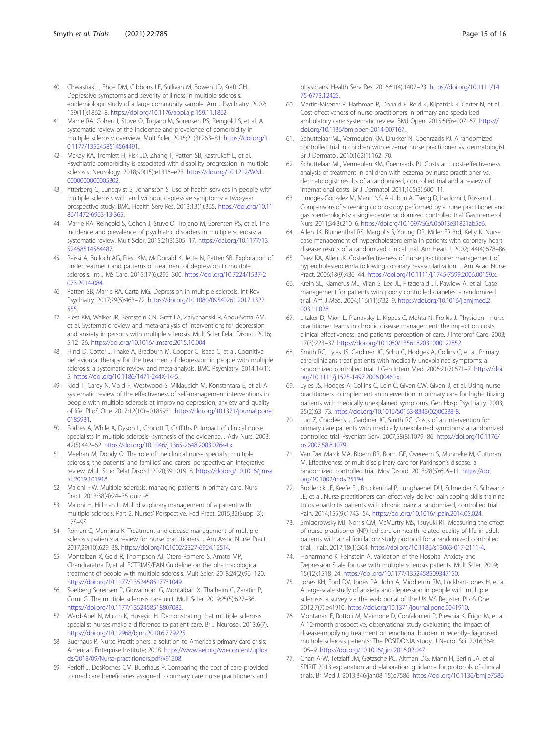- <span id="page-14-0"></span>40. Chwastiak L, Ehde DM, Gibbons LE, Sullivan M, Bowen JD, Kraft GH. Depressive symptoms and severity of illness in multiple sclerosis: epidemiologic study of a large community sample. Am J Psychiatry. 2002; 159(11):1862–8. <https://doi.org/10.1176/appi.ajp.159.11.1862>.
- 41. Marrie RA, Cohen J, Stuve O, Trojano M, Sorensen PS, Reingold S, et al. A systematic review of the incidence and prevalence of comorbidity in multiple sclerosis: overview. Mult Scler. 2015;21(3):263–81. [https://doi.org/1](https://doi.org/10.1177/1352458514564491) [0.1177/1352458514564491](https://doi.org/10.1177/1352458514564491).
- 42. McKay KA, Tremlett H, Fisk JD, Zhang T, Patten SB, Kastrukoff L, et al. Psychiatric comorbidity is associated with disability progression in multiple sclerosis. Neurology. 2018;90(15):e1316–e23. [https://doi.org/10.1212/WNL.](https://doi.org/10.1212/WNL.0000000000005302) [0000000000005302](https://doi.org/10.1212/WNL.0000000000005302).
- 43. Ytterberg C, Lundqvist S, Johansson S. Use of health services in people with multiple sclerosis with and without depressive symptoms: a two-year prospective study. BMC Health Serv Res. 2013;13(1):365. [https://doi.org/10.11](https://doi.org/10.1186/1472-6963-13-365) [86/1472-6963-13-365.](https://doi.org/10.1186/1472-6963-13-365)
- 44. Marrie RA, Reingold S, Cohen J, Stuve O, Trojano M, Sorensen PS, et al. The incidence and prevalence of psychiatric disorders in multiple sclerosis: a systematic review. Mult Scler. 2015;21(3):305–17. [https://doi.org/10.1177/13](https://doi.org/10.1177/1352458514564487) [52458514564487](https://doi.org/10.1177/1352458514564487).
- 45. Raissi A, Bulloch AG, Fiest KM, McDonald K, Jette N, Patten SB. Exploration of undertreatment and patterns of treatment of depression in multiple sclerosis. Int J MS Care. 2015;17(6):292–300. [https://doi.org/10.7224/1537-2](https://doi.org/10.7224/1537-2073.2014-084) [073.2014-084](https://doi.org/10.7224/1537-2073.2014-084).
- 46. Patten SB, Marrie RA, Carta MG. Depression in multiple sclerosis. Int Rev Psychiatry. 2017;29(5):463–72. [https://doi.org/10.1080/09540261.2017.1322](https://doi.org/10.1080/09540261.2017.1322555) [555.](https://doi.org/10.1080/09540261.2017.1322555)
- 47. Fiest KM, Walker JR, Bernstein CN, Graff LA, Zarychanski R, Abou-Setta AM, et al. Systematic review and meta-analysis of interventions for depression and anxiety in persons with multiple sclerosis. Mult Scler Relat Disord. 2016; 5:12–26. <https://doi.org/10.1016/j.msard.2015.10.004>.
- 48. Hind D, Cotter J, Thake A, Bradburn M, Cooper C, Isaac C, et al. Cognitive behavioural therapy for the treatment of depression in people with multiple sclerosis: a systematic review and meta-analysis. BMC Psychiatry. 2014;14(1): 5. [https://doi.org/10.1186/1471-244X-14-5.](https://doi.org/10.1186/1471-244X-14-5)
- 49. Kidd T, Carey N, Mold F, Westwood S, Miklaucich M, Konstantara E, et al. A systematic review of the effectiveness of self-management interventions in people with multiple sclerosis at improving depression, anxiety and quality of life. PLoS One. 2017;12(10):e0185931. [https://doi.org/10.1371/journal.pone.](https://doi.org/10.1371/journal.pone.0185931) [0185931.](https://doi.org/10.1371/journal.pone.0185931)
- 50. Forbes A, While A, Dyson L, Grocott T, Griffiths P. Impact of clinical nurse specialists in multiple sclerosis--synthesis of the evidence. J Adv Nurs. 2003; 42(5):442–62. <https://doi.org/10.1046/j.1365-2648.2003.02644.x>.
- 51. Meehan M, Doody O. The role of the clinical nurse specialist multiple sclerosis, the patients' and families' and carers' perspective: an integrative review. Mult Scler Relat Disord. 2020;39:101918. [https://doi.org/10.1016/j.msa](https://doi.org/10.1016/j.msard.2019.101918) [rd.2019.101918](https://doi.org/10.1016/j.msard.2019.101918).
- 52. Maloni HW. Multiple sclerosis: managing patients in primary care. Nurs Pract. 2013;38(4):24–35 quiz -6.
- 53. Maloni H, Hillman L. Multidisciplinary management of a patient with multiple sclerosis: Part 2. Nurses' Perspective. Fed Pract. 2015;32(Suppl 3): 17S–9S.
- 54. Roman C, Menning K. Treatment and disease management of multiple sclerosis patients: a review for nurse practitioners. J Am Assoc Nurse Pract. 2017;29(10):629–38. [https://doi.org/10.1002/2327-6924.12514.](https://doi.org/10.1002/2327-6924.12514)
- 55. Montalban X, Gold R, Thompson AJ, Otero-Romero S, Amato MP, Chandraratna D, et al. ECTRIMS/EAN Guideline on the pharmacological treatment of people with multiple sclerosis. Mult Scler. 2018;24(2):96–120. <https://doi.org/10.1177/1352458517751049>.
- 56. Soelberg Sorensen P, Giovannoni G, Montalban X, Thalheim C, Zaratin P, Comi G. The multiple sclerosis care unit. Mult Scler. 2019;25(5):627–36. <https://doi.org/10.1177/1352458518807082>.
- 57. Ward-Abel N, Mutch K, Huseyin H. Demonstrating that multiple sclerosis specialist nurses make a difference to patient care. Br J Neurosci. 2013;6(7). [https://doi.org/10.12968/bjnn.2010.6.7.79225.](https://doi.org/10.12968/bjnn.2010.6.7.79225)
- 58. Buerhaus P. Nurse Practitioners: a solution to America's primary care crisis: American Enterprise Institute; 2018. [https://www.aei.org/wp-content/uploa](https://www.aei.org/wp-content/uploads/2018/09/Nurse-practitioners.pdf?x91208) [ds/2018/09/Nurse-practitioners.pdf?x91208](https://www.aei.org/wp-content/uploads/2018/09/Nurse-practitioners.pdf?x91208).
- 59. Perloff J, DesRoches CM, Buerhaus P. Comparing the cost of care provided to medicare beneficiaries assigned to primary care nurse practitioners and

physicians. Health Serv Res. 2016;51(4):1407–23. [https://doi.org/10.1111/14](https://doi.org/10.1111/1475-6773.12425) [75-6773.12425.](https://doi.org/10.1111/1475-6773.12425)

- 60. Martin-Misener R, Harbman P, Donald F, Reid K, Kilpatrick K, Carter N, et al. Cost-effectiveness of nurse practitioners in primary and specialised ambulatory care: systematic review. BMJ Open. 2015;5(6):e007167. [https://](https://doi.org/10.1136/bmjopen-2014-007167) [doi.org/10.1136/bmjopen-2014-007167.](https://doi.org/10.1136/bmjopen-2014-007167)
- 61. Schuttelaar ML, Vermeulen KM, Drukker N, Coenraads PJ. A randomized controlled trial in children with eczema: nurse practitioner vs. dermatologist. Br J Dermatol. 2010;162(1):162–70.
- 62. Schuttelaar ML, Vermeulen KM, Coenraads PJ. Costs and cost-effectiveness analysis of treatment in children with eczema by nurse practitioner vs. dermatologist: results of a randomized, controlled trial and a review of international costs. Br J Dermatol. 2011;165(3):600–11.
- 63. Limoges-Gonzalez M, Mann NS, Al-Juburi A, Tseng D, Inadomi J, Rossaro L. Comparisons of screening colonoscopy performed by a nurse practitioner and gastroenterologists: a single-center randomized controlled trial. Gastroenterol Nurs. 2011;34(3):210–6. [https://doi.org/10.1097/SGA.0b013e31821ab5e6.](https://doi.org/10.1097/SGA.0b013e31821ab5e6)
- 64. Allen JK, Blumenthal RS, Margolis S, Young DR, Miller ER 3rd, Kelly K. Nurse case management of hypercholesterolemia in patients with coronary heart disease: results of a randomized clinical trial. Am Heart J. 2002;144(4):678–86.
- 65. Paez KA, Allen JK. Cost-effectiveness of nurse practitioner management of hypercholesterolemia following coronary revascularization. J Am Acad Nurse Pract. 2006;18(9):436–44. [https://doi.org/10.1111/j.1745-7599.2006.00159.x.](https://doi.org/10.1111/j.1745-7599.2006.00159.x)
- 66. Krein SL, Klamerus ML, Vijan S, Lee JL, Fitzgerald JT, Pawlow A, et al. Case management for patients with poorly controlled diabetes: a randomized trial. Am J Med. 2004;116(11):732–9. [https://doi.org/10.1016/j.amjmed.2](https://doi.org/10.1016/j.amjmed.2003.11.028) [003.11.028](https://doi.org/10.1016/j.amjmed.2003.11.028).
- 67. Litaker D, Mion L, Planavsky L, Kippes C, Mehta N, Frolkis J. Physician nurse practitioner teams in chronic disease management: the impact on costs clinical effectiveness, and patients' perception of care. J Interprof Care. 2003; 17(3):223–37. [https://doi.org/10.1080/1356182031000122852.](https://doi.org/10.1080/1356182031000122852)
- 68. Smith RC, Lyles JS, Gardiner JC, Sirbu C, Hodges A, Collins C, et al. Primary care clinicians treat patients with medically unexplained symptoms: a randomized controlled trial. J Gen Intern Med. 2006;21(7):671–7. [https://doi.](https://doi.org/10.1111/j.1525-1497.2006.00460.x) [org/10.1111/j.1525-1497.2006.00460.x](https://doi.org/10.1111/j.1525-1497.2006.00460.x).
- Lyles JS, Hodges A, Collins C, Lein C, Given CW, Given B, et al. Using nurse practitioners to implement an intervention in primary care for high-utilizing patients with medically unexplained symptoms. Gen Hosp Psychiatry. 2003; 25(2):63–73. [https://doi.org/10.1016/S0163-8343\(02\)00288-8](https://doi.org/10.1016/S0163-8343(02)00288-8).
- 70. Luo Z, Goddeeris J, Gardiner JC, Smith RC. Costs of an intervention for primary care patients with medically unexplained symptoms: a randomized controlled trial. Psychiatr Serv. 2007;58(8):1079–86. [https://doi.org/10.1176/](https://doi.org/10.1176/ps.2007.58.8.1079) [ps.2007.58.8.1079](https://doi.org/10.1176/ps.2007.58.8.1079).
- 71. Van Der Marck MA, Bloem BR, Borm GF, Overeem S, Munneke M, Guttman M. Effectiveness of multidisciplinary care for Parkinson's disease: a randomized, controlled trial. Mov Disord. 2013;28(5):605–11. [https://doi.](https://doi.org/10.1002/mds.25194) [org/10.1002/mds.25194](https://doi.org/10.1002/mds.25194).
- 72. Broderick JE, Keefe FJ, Bruckenthal P, Junghaenel DU, Schneider S, Schwartz JE, et al. Nurse practitioners can effectively deliver pain coping skills training to osteoarthritis patients with chronic pain: a randomized, controlled trial. Pain. 2014;155(9):1743–54. <https://doi.org/10.1016/j.pain.2014.05.024>.
- 73. Smigorowsky MJ, Norris CM, McMurtry MS, Tsuyuki RT. Measuring the effect of nurse practitioner (NP)-led care on health-related quality of life in adult patients with atrial fibrillation: study protocol for a randomized controlled trial. Trials. 2017;18(1):364. [https://doi.org/10.1186/s13063-017-2111-4.](https://doi.org/10.1186/s13063-017-2111-4)
- 74. Honarmand K, Feinstein A. Validation of the Hospital Anxiety and Depression Scale for use with multiple sclerosis patients. Mult Scler. 2009; 15(12):1518–24. <https://doi.org/10.1177/1352458509347150>.
- 75. Jones KH, Ford DV, Jones PA, John A, Middleton RM, Lockhart-Jones H, et al. A large-scale study of anxiety and depression in people with multiple sclerosis: a survey via the web portal of the UK MS Register. PLoS One. 2012;7(7):e41910. [https://doi.org/10.1371/journal.pone.0041910.](https://doi.org/10.1371/journal.pone.0041910)
- 76. Montanari E, Rottoli M, Maimone D, Confalonieri P, Plewnia K, Frigo M, et al. A 12-month prospective, observational study evaluating the impact of disease-modifying treatment on emotional burden in recently-diagnosed multiple sclerosis patients: The POSIDONIA study. J Neurol Sci. 2016;364: 105–9. <https://doi.org/10.1016/j.jns.2016.02.047>.
- 77. Chan A-W, Tetzlaff JM, Gøtzsche PC, Altman DG, Mann H, Berlin JA, et al. SPIRIT 2013 explanation and elaboration: guidance for protocols of clinical trials. Br Med J. 2013;346(jan08 15):e7586. [https://doi.org/10.1136/bmj.e7586.](https://doi.org/10.1136/bmj.e7586)